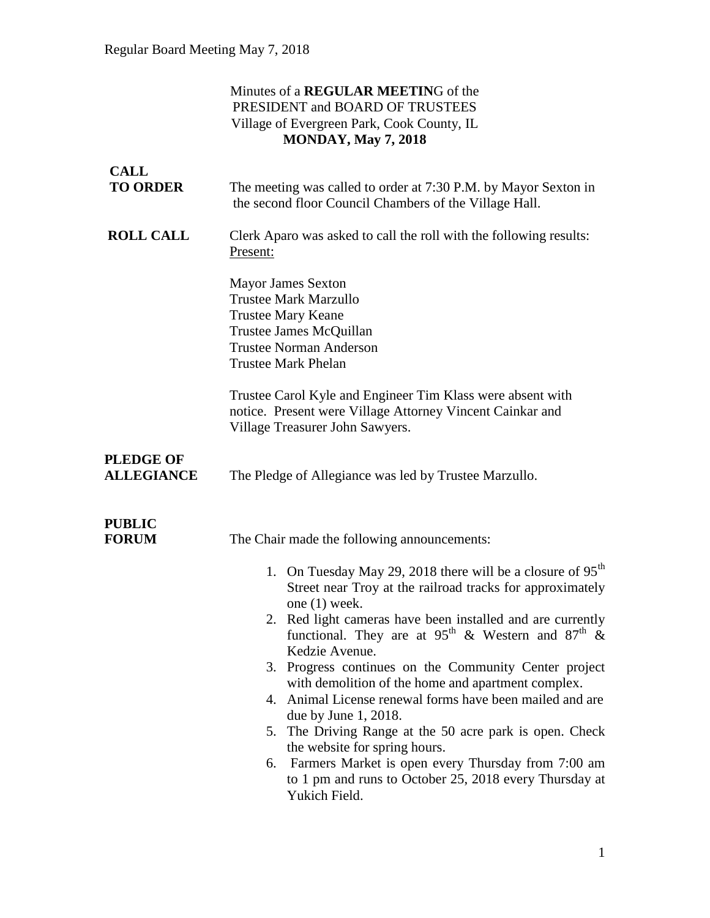### Minutes of a **REGULAR MEETIN**G of the PRESIDENT and BOARD OF TRUSTEES Village of Evergreen Park, Cook County, IL **MONDAY, May 7, 2018**

| <b>CALL</b><br><b>TO ORDER</b>        | The meeting was called to order at 7:30 P.M. by Mayor Sexton in<br>the second floor Council Chambers of the Village Hall.                                                                                                                                                                                                                                                                                                                                                                                                                                                                                                                                                                                                                                                                            |
|---------------------------------------|------------------------------------------------------------------------------------------------------------------------------------------------------------------------------------------------------------------------------------------------------------------------------------------------------------------------------------------------------------------------------------------------------------------------------------------------------------------------------------------------------------------------------------------------------------------------------------------------------------------------------------------------------------------------------------------------------------------------------------------------------------------------------------------------------|
| <b>ROLL CALL</b>                      | Clerk Aparo was asked to call the roll with the following results:<br>Present:<br><b>Mayor James Sexton</b><br><b>Trustee Mark Marzullo</b><br><b>Trustee Mary Keane</b><br>Trustee James McQuillan<br><b>Trustee Norman Anderson</b><br><b>Trustee Mark Phelan</b><br>Trustee Carol Kyle and Engineer Tim Klass were absent with<br>notice. Present were Village Attorney Vincent Cainkar and<br>Village Treasurer John Sawyers.                                                                                                                                                                                                                                                                                                                                                                    |
| <b>PLEDGE OF</b><br><b>ALLEGIANCE</b> | The Pledge of Allegiance was led by Trustee Marzullo.                                                                                                                                                                                                                                                                                                                                                                                                                                                                                                                                                                                                                                                                                                                                                |
| <b>PUBLIC</b><br><b>FORUM</b>         | The Chair made the following announcements:<br>1. On Tuesday May 29, 2018 there will be a closure of $95th$<br>Street near Troy at the railroad tracks for approximately<br>one $(1)$ week.<br>2. Red light cameras have been installed and are currently<br>functional. They are at 95 <sup>th</sup> & Western and 87 <sup>th</sup> &<br>Kedzie Avenue.<br>3. Progress continues on the Community Center project<br>with demolition of the home and apartment complex.<br>Animal License renewal forms have been mailed and are<br>4.<br>due by June 1, 2018.<br>The Driving Range at the 50 acre park is open. Check<br>5.<br>the website for spring hours.<br>Farmers Market is open every Thursday from 7:00 am<br>6.<br>to 1 pm and runs to October 25, 2018 every Thursday at<br>Yukich Field. |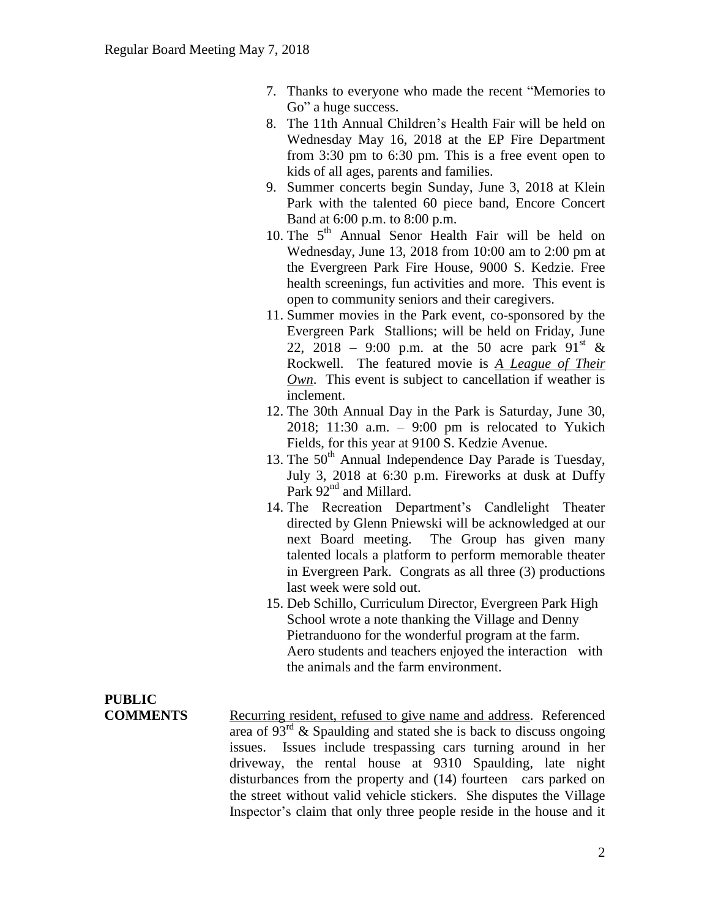- 7. Thanks to everyone who made the recent "Memories to Go" a huge success.
- 8. The 11th Annual Children's Health Fair will be held on Wednesday May 16, 2018 at the EP Fire Department from 3:30 pm to 6:30 pm. This is a free event open to kids of all ages, parents and families.
- 9. Summer concerts begin Sunday, June 3, 2018 at Klein Park with the talented 60 piece band, Encore Concert Band at 6:00 p.m. to 8:00 p.m.
- 10. The  $5<sup>th</sup>$  Annual Senor Health Fair will be held on Wednesday, June 13, 2018 from 10:00 am to 2:00 pm at the Evergreen Park Fire House, 9000 S. Kedzie. Free health screenings, fun activities and more. This event is open to community seniors and their caregivers.
- 11. Summer movies in the Park event, co-sponsored by the Evergreen Park Stallions; will be held on Friday, June 22, 2018 – 9:00 p.m. at the 50 acre park  $91^{st}$  & Rockwell. The featured movie is *A League of Their Own*. This event is subject to cancellation if weather is inclement.
- 12. The 30th Annual Day in the Park is Saturday, June 30, 2018; 11:30 a.m. – 9:00 pm is relocated to Yukich Fields, for this year at 9100 S. Kedzie Avenue.
- 13. The  $50<sup>th</sup>$  Annual Independence Day Parade is Tuesday, July 3, 2018 at 6:30 p.m. Fireworks at dusk at Duffy Park 92<sup>nd</sup> and Millard.
- 14. The Recreation Department's Candlelight Theater directed by Glenn Pniewski will be acknowledged at our next Board meeting. The Group has given many talented locals a platform to perform memorable theater in Evergreen Park. Congrats as all three (3) productions last week were sold out.
- 15. Deb Schillo, Curriculum Director, Evergreen Park High School wrote a note thanking the Village and Denny Pietranduono for the wonderful program at the farm. Aero students and teachers enjoyed the interaction with the animals and the farm environment.

# **PUBLIC**

**COMMENTS** Recurring resident, refused to give name and address. Referenced area of  $93<sup>rd</sup>$  & Spaulding and stated she is back to discuss ongoing issues. Issues include trespassing cars turning around in her driveway, the rental house at 9310 Spaulding, late night disturbances from the property and (14) fourteen cars parked on the street without valid vehicle stickers. She disputes the Village Inspector's claim that only three people reside in the house and it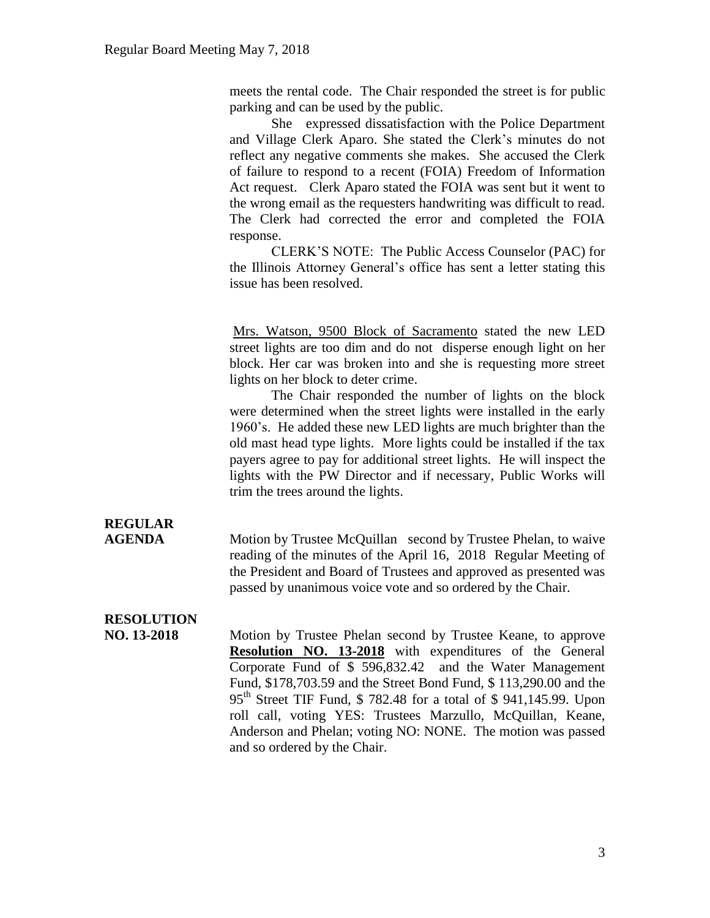meets the rental code. The Chair responded the street is for public parking and can be used by the public.

She expressed dissatisfaction with the Police Department and Village Clerk Aparo. She stated the Clerk's minutes do not reflect any negative comments she makes. She accused the Clerk of failure to respond to a recent (FOIA) Freedom of Information Act request. Clerk Aparo stated the FOIA was sent but it went to the wrong email as the requesters handwriting was difficult to read. The Clerk had corrected the error and completed the FOIA response.

CLERK'S NOTE: The Public Access Counselor (PAC) for the Illinois Attorney General's office has sent a letter stating this issue has been resolved.

Mrs. Watson, 9500 Block of Sacramento stated the new LED street lights are too dim and do not disperse enough light on her block. Her car was broken into and she is requesting more street lights on her block to deter crime.

The Chair responded the number of lights on the block were determined when the street lights were installed in the early 1960's. He added these new LED lights are much brighter than the old mast head type lights. More lights could be installed if the tax payers agree to pay for additional street lights. He will inspect the lights with the PW Director and if necessary, Public Works will trim the trees around the lights.

# **REGULAR**

**AGENDA** Motion by Trustee McQuillan second by Trustee Phelan, to waive reading of the minutes of the April 16, 2018 Regular Meeting of the President and Board of Trustees and approved as presented was passed by unanimous voice vote and so ordered by the Chair.

# **RESOLUTION**

**NO. 13-2018** Motion by Trustee Phelan second by Trustee Keane, to approve **Resolution NO. 13-2018** with expenditures of the General Corporate Fund of \$ 596,832.42 and the Water Management Fund, \$178,703.59 and the Street Bond Fund, \$ 113,290.00 and the 95<sup>th</sup> Street TIF Fund, \$ 782.48 for a total of \$ 941,145.99. Upon roll call, voting YES: Trustees Marzullo, McQuillan, Keane, Anderson and Phelan; voting NO: NONE. The motion was passed and so ordered by the Chair.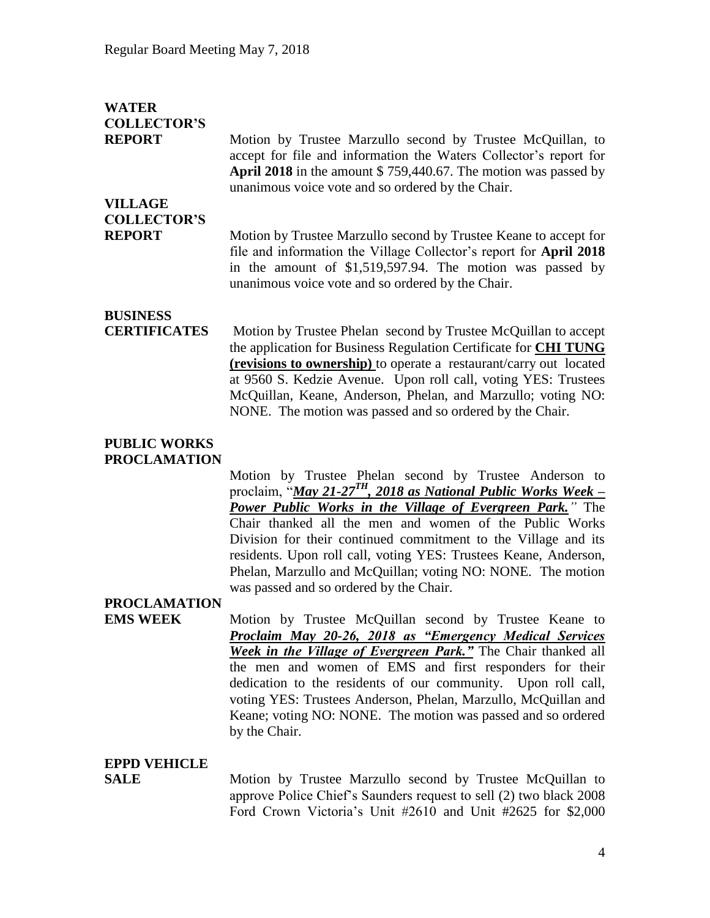| <b>WATER</b><br><b>COLLECTOR'S</b><br><b>REPORT</b> | Motion by Trustee Marzullo second by Trustee McQuillan, to<br>accept for file and information the Waters Collector's report for<br><b>April 2018</b> in the amount $$759,440.67$ . The motion was passed by<br>unanimous voice vote and so ordered by the Chair.                                                                                  |
|-----------------------------------------------------|---------------------------------------------------------------------------------------------------------------------------------------------------------------------------------------------------------------------------------------------------------------------------------------------------------------------------------------------------|
| <b>VILLAGE</b>                                      |                                                                                                                                                                                                                                                                                                                                                   |
| <b>COLLECTOR'S</b>                                  |                                                                                                                                                                                                                                                                                                                                                   |
| <b>REPORT</b>                                       | Motion by Trustee Marzullo second by Trustee Keane to accept for<br>file and information the Village Collector's report for <b>April 2018</b><br>in the amount of \$1,519,597.94. The motion was passed by<br>unanimous voice vote and so ordered by the Chair.                                                                                   |
| <b>BUSINESS</b>                                     |                                                                                                                                                                                                                                                                                                                                                   |
| <b>CERTIFICATES</b>                                 | Motion by Trustee Phelan second by Trustee McQuillan to accept<br>the application for Business Regulation Certificate for <b>CHI TUNG</b><br>(revisions to ownership) to operate a restaurant/carry out located<br>at 9560 S. Kedzie Avenue. Upon roll call, voting YES: Trustees<br>McQuillan, Keane, Anderson, Phelan, and Marzullo; voting NO: |

#### **PUBLIC WORKS PROCLAMATION**

Motion by Trustee Phelan second by Trustee Anderson to proclaim, "*May 21-27TH, 2018 as National Public Works Week – Power Public Works in the Village of Evergreen Park."* The Chair thanked all the men and women of the Public Works Division for their continued commitment to the Village and its residents. Upon roll call, voting YES: Trustees Keane, Anderson, Phelan, Marzullo and McQuillan; voting NO: NONE. The motion was passed and so ordered by the Chair.

NONE. The motion was passed and so ordered by the Chair.

### **PROCLAMATION**

**EMS WEEK** Motion by Trustee McQuillan second by Trustee Keane to *Proclaim May 20-26, 2018 as "Emergency Medical Services Week in the Village of Evergreen Park."* The Chair thanked all the men and women of EMS and first responders for their dedication to the residents of our community. Upon roll call, voting YES: Trustees Anderson, Phelan, Marzullo, McQuillan and Keane; voting NO: NONE. The motion was passed and so ordered by the Chair.

### **EPPD VEHICLE**

**SALE** 3 Motion by Trustee Marzullo second by Trustee McQuillan to approve Police Chief's Saunders request to sell (2) two black 2008 Ford Crown Victoria's Unit #2610 and Unit #2625 for \$2,000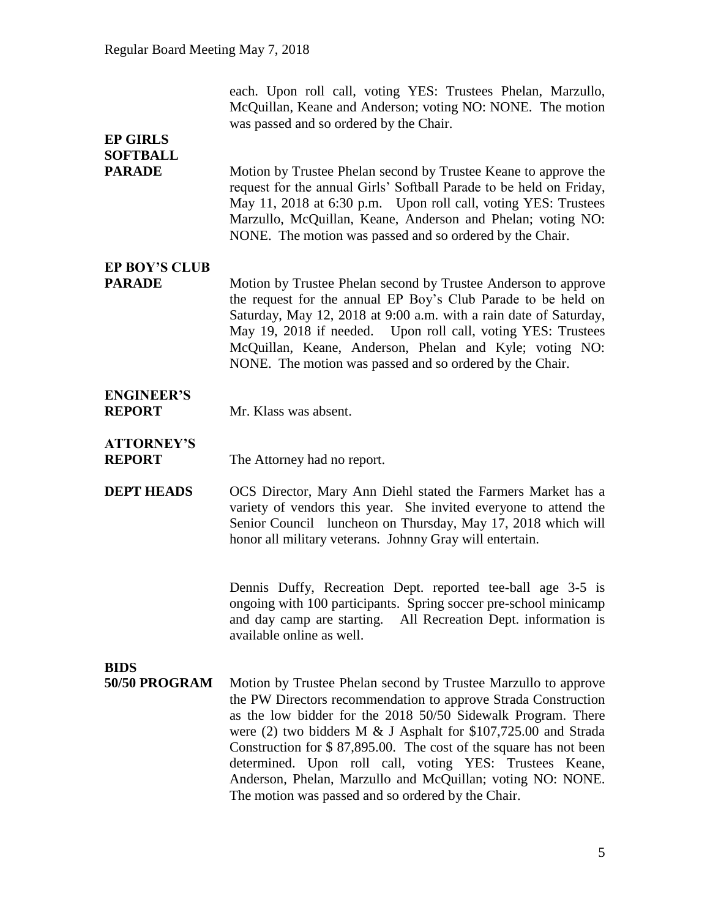each. Upon roll call, voting YES: Trustees Phelan, Marzullo, McQuillan, Keane and Anderson; voting NO: NONE. The motion was passed and so ordered by the Chair.

## **EP GIRLS SOFTBALL**

**PARADE** Motion by Trustee Phelan second by Trustee Keane to approve the request for the annual Girls' Softball Parade to be held on Friday, May 11, 2018 at 6:30 p.m. Upon roll call, voting YES: Trustees Marzullo, McQuillan, Keane, Anderson and Phelan; voting NO: NONE. The motion was passed and so ordered by the Chair.

# **EP BOY'S CLUB**

**PARADE** Motion by Trustee Phelan second by Trustee Anderson to approve the request for the annual EP Boy's Club Parade to be held on Saturday, May 12, 2018 at 9:00 a.m. with a rain date of Saturday, May 19, 2018 if needed. Upon roll call, voting YES: Trustees McQuillan, Keane, Anderson, Phelan and Kyle; voting NO: NONE. The motion was passed and so ordered by the Chair.

# **ENGINEER'S**

**REPORT** Mr. Klass was absent.

# **ATTORNEY'S**

**REPORT** The Attorney had no report.

**DEPT HEADS** OCS Director, Mary Ann Diehl stated the Farmers Market has a variety of vendors this year. She invited everyone to attend the Senior Council luncheon on Thursday, May 17, 2018 which will honor all military veterans. Johnny Gray will entertain.

> Dennis Duffy, Recreation Dept. reported tee-ball age 3-5 is ongoing with 100 participants. Spring soccer pre-school minicamp and day camp are starting. All Recreation Dept. information is available online as well.

## **BIDS**

**50/50 PROGRAM** Motion by Trustee Phelan second by Trustee Marzullo to approve the PW Directors recommendation to approve Strada Construction as the low bidder for the 2018 50/50 Sidewalk Program. There were (2) two bidders M & J Asphalt for \$107,725.00 and Strada Construction for \$ 87,895.00. The cost of the square has not been determined. Upon roll call, voting YES: Trustees Keane, Anderson, Phelan, Marzullo and McQuillan; voting NO: NONE. The motion was passed and so ordered by the Chair.